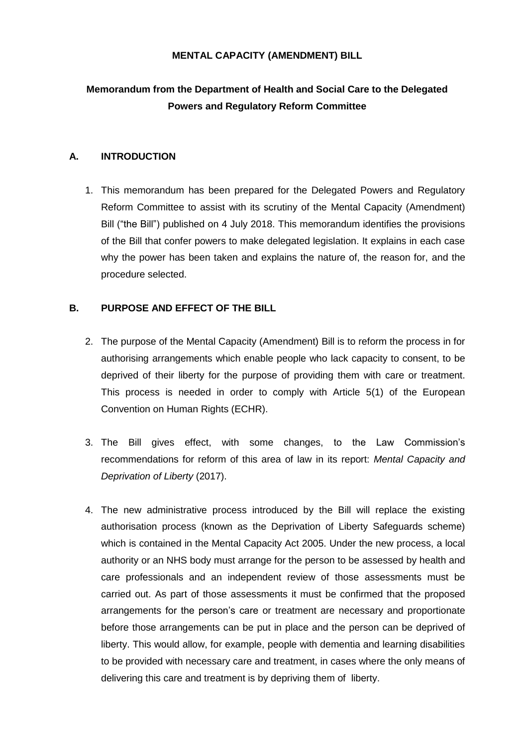## **MENTAL CAPACITY (AMENDMENT) BILL**

## **Memorandum from the Department of Health and Social Care to the Delegated Powers and Regulatory Reform Committee**

## **A. INTRODUCTION**

1. This memorandum has been prepared for the Delegated Powers and Regulatory Reform Committee to assist with its scrutiny of the Mental Capacity (Amendment) Bill ("the Bill") published on 4 July 2018. This memorandum identifies the provisions of the Bill that confer powers to make delegated legislation. It explains in each case why the power has been taken and explains the nature of, the reason for, and the procedure selected.

## **B. PURPOSE AND EFFECT OF THE BILL**

- 2. The purpose of the Mental Capacity (Amendment) Bill is to reform the process in for authorising arrangements which enable people who lack capacity to consent, to be deprived of their liberty for the purpose of providing them with care or treatment. This process is needed in order to comply with Article 5(1) of the European Convention on Human Rights (ECHR).
- 3. The Bill gives effect, with some changes, to the Law Commission's recommendations for reform of this area of law in its report: *Mental Capacity and Deprivation of Liberty* (2017).
- 4. The new administrative process introduced by the Bill will replace the existing authorisation process (known as the Deprivation of Liberty Safeguards scheme) which is contained in the Mental Capacity Act 2005. Under the new process, a local authority or an NHS body must arrange for the person to be assessed by health and care professionals and an independent review of those assessments must be carried out. As part of those assessments it must be confirmed that the proposed arrangements for the person's care or treatment are necessary and proportionate before those arrangements can be put in place and the person can be deprived of liberty. This would allow, for example, people with dementia and learning disabilities to be provided with necessary care and treatment, in cases where the only means of delivering this care and treatment is by depriving them of liberty.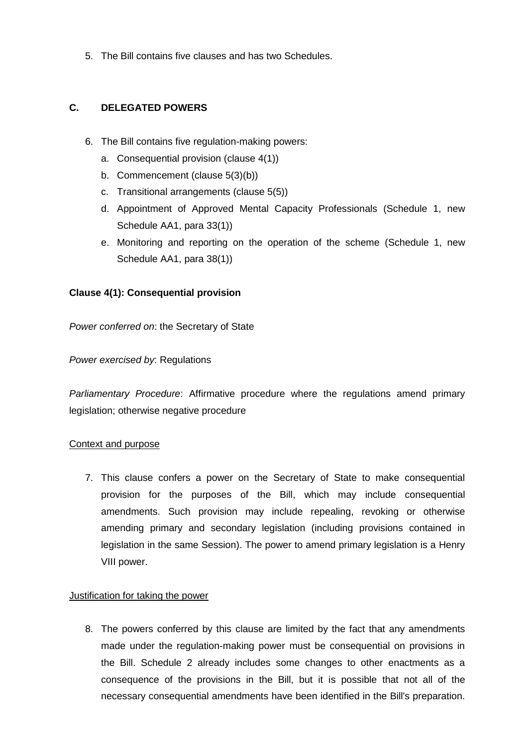5. The Bill contains five clauses and has two Schedules.

## **C. DELEGATED POWERS**

- 6. The Bill contains five regulation-making powers:
	- a. Consequential provision (clause 4(1))
	- b. Commencement (clause 5(3)(b))
	- c. Transitional arrangements (clause 5(5))
	- d. Appointment of Approved Mental Capacity Professionals (Schedule 1, new Schedule AA1, para 33(1))
	- e. Monitoring and reporting on the operation of the scheme (Schedule 1, new Schedule AA1, para 38(1))

## **Clause 4(1): Consequential provision**

*Power conferred on*: the Secretary of State

## *Power exercised by*: Regulations

*Parliamentary Procedure*: Affirmative procedure where the regulations amend primary legislation; otherwise negative procedure

## Context and purpose

7. This clause confers a power on the Secretary of State to make consequential provision for the purposes of the Bill, which may include consequential amendments. Such provision may include repealing, revoking or otherwise amending primary and secondary legislation (including provisions contained in legislation in the same Session). The power to amend primary legislation is a Henry VIII power.

## Justification for taking the power

8. The powers conferred by this clause are limited by the fact that any amendments made under the regulation-making power must be consequential on provisions in the Bill. Schedule 2 already includes some changes to other enactments as a consequence of the provisions in the Bill, but it is possible that not all of the necessary consequential amendments have been identified in the Bill's preparation.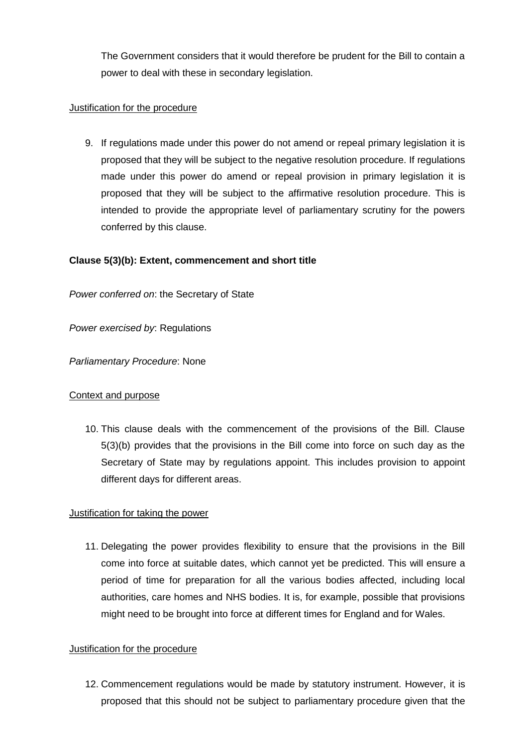The Government considers that it would therefore be prudent for the Bill to contain a power to deal with these in secondary legislation.

## Justification for the procedure

9. If regulations made under this power do not amend or repeal primary legislation it is proposed that they will be subject to the negative resolution procedure. If regulations made under this power do amend or repeal provision in primary legislation it is proposed that they will be subject to the affirmative resolution procedure. This is intended to provide the appropriate level of parliamentary scrutiny for the powers conferred by this clause.

## **Clause 5(3)(b): Extent, commencement and short title**

*Power conferred on*: the Secretary of State

*Power exercised by*: Regulations

## *Parliamentary Procedure*: None

## Context and purpose

10. This clause deals with the commencement of the provisions of the Bill. Clause 5(3)(b) provides that the provisions in the Bill come into force on such day as the Secretary of State may by regulations appoint. This includes provision to appoint different days for different areas.

## Justification for taking the power

11. Delegating the power provides flexibility to ensure that the provisions in the Bill come into force at suitable dates, which cannot yet be predicted. This will ensure a period of time for preparation for all the various bodies affected, including local authorities, care homes and NHS bodies. It is, for example, possible that provisions might need to be brought into force at different times for England and for Wales.

## Justification for the procedure

12. Commencement regulations would be made by statutory instrument. However, it is proposed that this should not be subject to parliamentary procedure given that the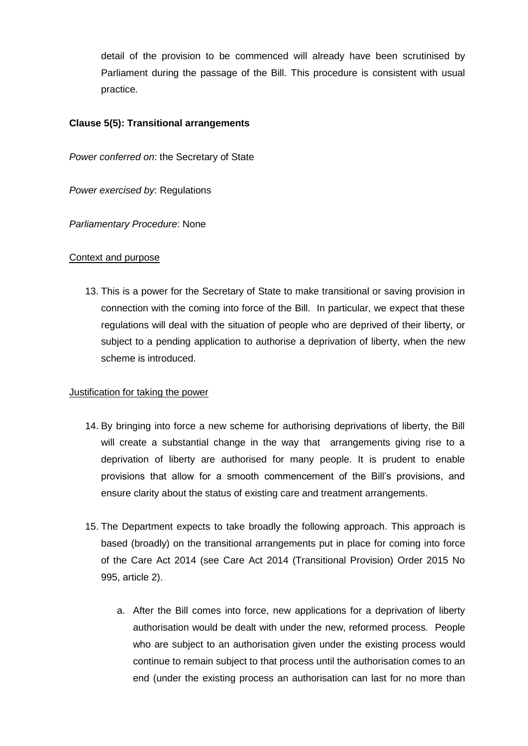detail of the provision to be commenced will already have been scrutinised by Parliament during the passage of the Bill. This procedure is consistent with usual practice.

## **Clause 5(5): Transitional arrangements**

*Power conferred on*: the Secretary of State

*Power exercised by*: Regulations

*Parliamentary Procedure*: None

## Context and purpose

13. This is a power for the Secretary of State to make transitional or saving provision in connection with the coming into force of the Bill. In particular, we expect that these regulations will deal with the situation of people who are deprived of their liberty, or subject to a pending application to authorise a deprivation of liberty, when the new scheme is introduced.

## Justification for taking the power

- 14. By bringing into force a new scheme for authorising deprivations of liberty, the Bill will create a substantial change in the way that arrangements giving rise to a deprivation of liberty are authorised for many people. It is prudent to enable provisions that allow for a smooth commencement of the Bill's provisions, and ensure clarity about the status of existing care and treatment arrangements.
- 15. The Department expects to take broadly the following approach. This approach is based (broadly) on the transitional arrangements put in place for coming into force of the Care Act 2014 (see Care Act 2014 (Transitional Provision) Order 2015 No 995, article 2).
	- a. After the Bill comes into force, new applications for a deprivation of liberty authorisation would be dealt with under the new, reformed process. People who are subject to an authorisation given under the existing process would continue to remain subject to that process until the authorisation comes to an end (under the existing process an authorisation can last for no more than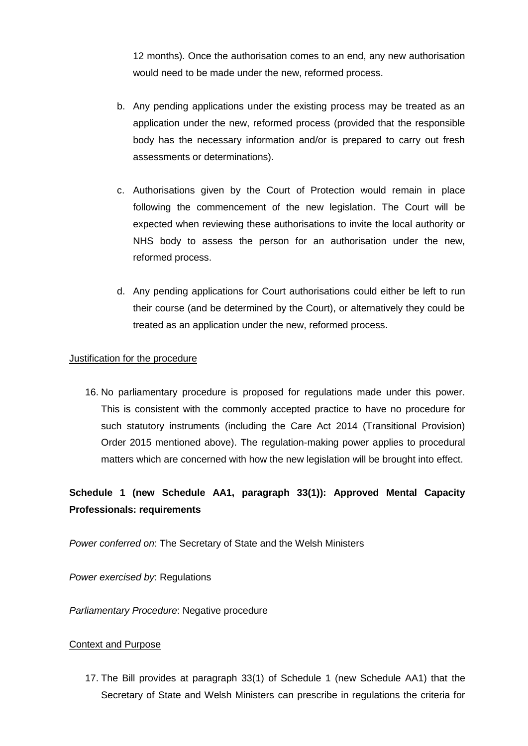12 months). Once the authorisation comes to an end, any new authorisation would need to be made under the new, reformed process.

- b. Any pending applications under the existing process may be treated as an application under the new, reformed process (provided that the responsible body has the necessary information and/or is prepared to carry out fresh assessments or determinations).
- c. Authorisations given by the Court of Protection would remain in place following the commencement of the new legislation. The Court will be expected when reviewing these authorisations to invite the local authority or NHS body to assess the person for an authorisation under the new, reformed process.
- d. Any pending applications for Court authorisations could either be left to run their course (and be determined by the Court), or alternatively they could be treated as an application under the new, reformed process.

## Justification for the procedure

16. No parliamentary procedure is proposed for regulations made under this power. This is consistent with the commonly accepted practice to have no procedure for such statutory instruments (including the Care Act 2014 (Transitional Provision) Order 2015 mentioned above). The regulation-making power applies to procedural matters which are concerned with how the new legislation will be brought into effect.

# **Schedule 1 (new Schedule AA1, paragraph 33(1)): Approved Mental Capacity Professionals: requirements**

*Power conferred on*: The Secretary of State and the Welsh Ministers

*Power exercised by*: Regulations

*Parliamentary Procedure*: Negative procedure

## Context and Purpose

17. The Bill provides at paragraph 33(1) of Schedule 1 (new Schedule AA1) that the Secretary of State and Welsh Ministers can prescribe in regulations the criteria for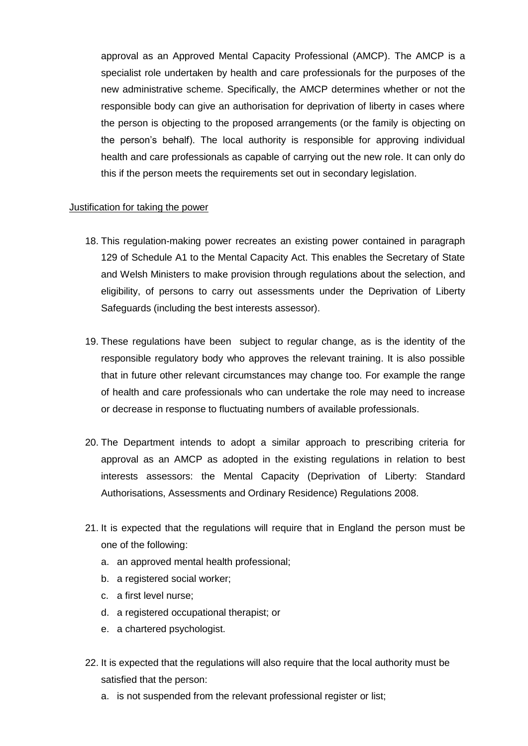approval as an Approved Mental Capacity Professional (AMCP). The AMCP is a specialist role undertaken by health and care professionals for the purposes of the new administrative scheme. Specifically, the AMCP determines whether or not the responsible body can give an authorisation for deprivation of liberty in cases where the person is objecting to the proposed arrangements (or the family is objecting on the person's behalf). The local authority is responsible for approving individual health and care professionals as capable of carrying out the new role. It can only do this if the person meets the requirements set out in secondary legislation.

#### Justification for taking the power

- 18. This regulation-making power recreates an existing power contained in paragraph 129 of Schedule A1 to the Mental Capacity Act. This enables the Secretary of State and Welsh Ministers to make provision through regulations about the selection, and eligibility, of persons to carry out assessments under the Deprivation of Liberty Safeguards (including the best interests assessor).
- 19. These regulations have been subject to regular change, as is the identity of the responsible regulatory body who approves the relevant training. It is also possible that in future other relevant circumstances may change too. For example the range of health and care professionals who can undertake the role may need to increase or decrease in response to fluctuating numbers of available professionals.
- 20. The Department intends to adopt a similar approach to prescribing criteria for approval as an AMCP as adopted in the existing regulations in relation to best interests assessors: the Mental Capacity (Deprivation of Liberty: Standard Authorisations, Assessments and Ordinary Residence) Regulations 2008.
- 21. It is expected that the regulations will require that in England the person must be one of the following:
	- a. an approved mental health professional;
	- b. a registered social worker;
	- c. a first level nurse;
	- d. a registered occupational therapist; or
	- e. a chartered psychologist.
- 22. It is expected that the regulations will also require that the local authority must be satisfied that the person:
	- a. is not suspended from the relevant professional register or list: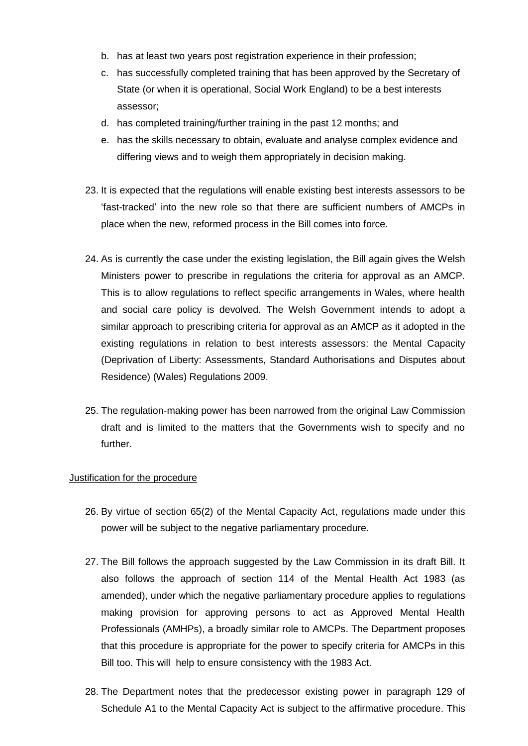- b. has at least two years post registration experience in their profession;
- c. has successfully completed training that has been approved by the Secretary of State (or when it is operational, Social Work England) to be a best interests assessor;
- d. has completed training/further training in the past 12 months; and
- e. has the skills necessary to obtain, evaluate and analyse complex evidence and differing views and to weigh them appropriately in decision making.
- 23. It is expected that the regulations will enable existing best interests assessors to be 'fast-tracked' into the new role so that there are sufficient numbers of AMCPs in place when the new, reformed process in the Bill comes into force.
- 24. As is currently the case under the existing legislation, the Bill again gives the Welsh Ministers power to prescribe in regulations the criteria for approval as an AMCP. This is to allow regulations to reflect specific arrangements in Wales, where health and social care policy is devolved. The Welsh Government intends to adopt a similar approach to prescribing criteria for approval as an AMCP as it adopted in the existing regulations in relation to best interests assessors: the Mental Capacity (Deprivation of Liberty: Assessments, Standard Authorisations and Disputes about Residence) (Wales) Regulations 2009.
- 25. The regulation-making power has been narrowed from the original Law Commission draft and is limited to the matters that the Governments wish to specify and no further.

## Justification for the procedure

- 26. By virtue of section 65(2) of the Mental Capacity Act, regulations made under this power will be subject to the negative parliamentary procedure.
- 27. The Bill follows the approach suggested by the Law Commission in its draft Bill. It also follows the approach of section 114 of the Mental Health Act 1983 (as amended), under which the negative parliamentary procedure applies to regulations making provision for approving persons to act as Approved Mental Health Professionals (AMHPs), a broadly similar role to AMCPs. The Department proposes that this procedure is appropriate for the power to specify criteria for AMCPs in this Bill too. This will help to ensure consistency with the 1983 Act.
- 28. The Department notes that the predecessor existing power in paragraph 129 of Schedule A1 to the Mental Capacity Act is subject to the affirmative procedure. This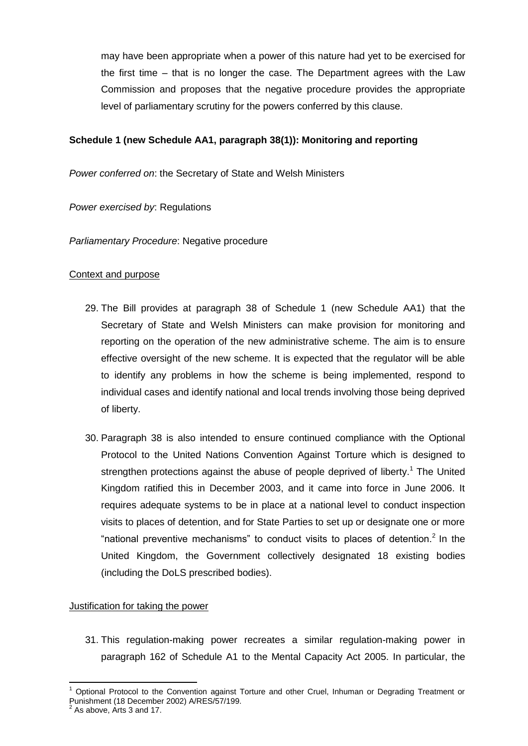may have been appropriate when a power of this nature had yet to be exercised for the first time – that is no longer the case. The Department agrees with the Law Commission and proposes that the negative procedure provides the appropriate level of parliamentary scrutiny for the powers conferred by this clause.

## **Schedule 1 (new Schedule AA1, paragraph 38(1)): Monitoring and reporting**

*Power conferred on*: the Secretary of State and Welsh Ministers

*Power exercised by*: Regulations

*Parliamentary Procedure*: Negative procedure

## Context and purpose

- 29. The Bill provides at paragraph 38 of Schedule 1 (new Schedule AA1) that the Secretary of State and Welsh Ministers can make provision for monitoring and reporting on the operation of the new administrative scheme. The aim is to ensure effective oversight of the new scheme. It is expected that the regulator will be able to identify any problems in how the scheme is being implemented, respond to individual cases and identify national and local trends involving those being deprived of liberty.
- 30. Paragraph 38 is also intended to ensure continued compliance with the Optional Protocol to the United Nations Convention Against Torture which is designed to strengthen protections against the abuse of people deprived of liberty.<sup>1</sup> The United Kingdom ratified this in December 2003, and it came into force in June 2006. It requires adequate systems to be in place at a national level to conduct inspection visits to places of detention, and for State Parties to set up or designate one or more "national preventive mechanisms" to conduct visits to places of detention.<sup>2</sup> In the United Kingdom, the Government collectively designated 18 existing bodies (including the DoLS prescribed bodies).

## Justification for taking the power

31. This regulation-making power recreates a similar regulation-making power in paragraph 162 of Schedule A1 to the Mental Capacity Act 2005. In particular, the

 $\overline{a}$ 

<sup>1</sup> Optional Protocol to the Convention against Torture and other Cruel, Inhuman or Degrading Treatment or Punishment (18 December 2002) A/RES/57/199. 2 As above, Arts 3 and 17.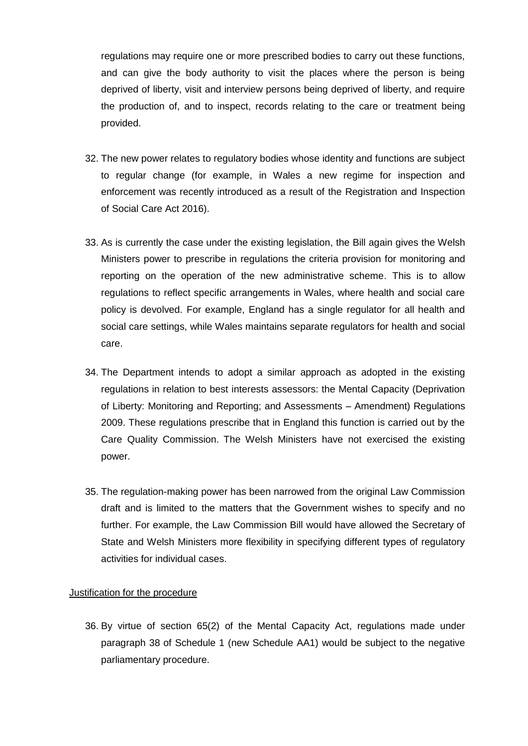regulations may require one or more prescribed bodies to carry out these functions, and can give the body authority to visit the places where the person is being deprived of liberty, visit and interview persons being deprived of liberty, and require the production of, and to inspect, records relating to the care or treatment being provided.

- 32. The new power relates to regulatory bodies whose identity and functions are subject to regular change (for example, in Wales a new regime for inspection and enforcement was recently introduced as a result of the Registration and Inspection of Social Care Act 2016).
- 33. As is currently the case under the existing legislation, the Bill again gives the Welsh Ministers power to prescribe in regulations the criteria provision for monitoring and reporting on the operation of the new administrative scheme. This is to allow regulations to reflect specific arrangements in Wales, where health and social care policy is devolved. For example, England has a single regulator for all health and social care settings, while Wales maintains separate regulators for health and social care.
- 34. The Department intends to adopt a similar approach as adopted in the existing regulations in relation to best interests assessors: the Mental Capacity (Deprivation of Liberty: Monitoring and Reporting; and Assessments – Amendment) Regulations 2009. These regulations prescribe that in England this function is carried out by the Care Quality Commission. The Welsh Ministers have not exercised the existing power.
- 35. The regulation-making power has been narrowed from the original Law Commission draft and is limited to the matters that the Government wishes to specify and no further. For example, the Law Commission Bill would have allowed the Secretary of State and Welsh Ministers more flexibility in specifying different types of regulatory activities for individual cases.

#### Justification for the procedure

36. By virtue of section 65(2) of the Mental Capacity Act, regulations made under paragraph 38 of Schedule 1 (new Schedule AA1) would be subject to the negative parliamentary procedure.